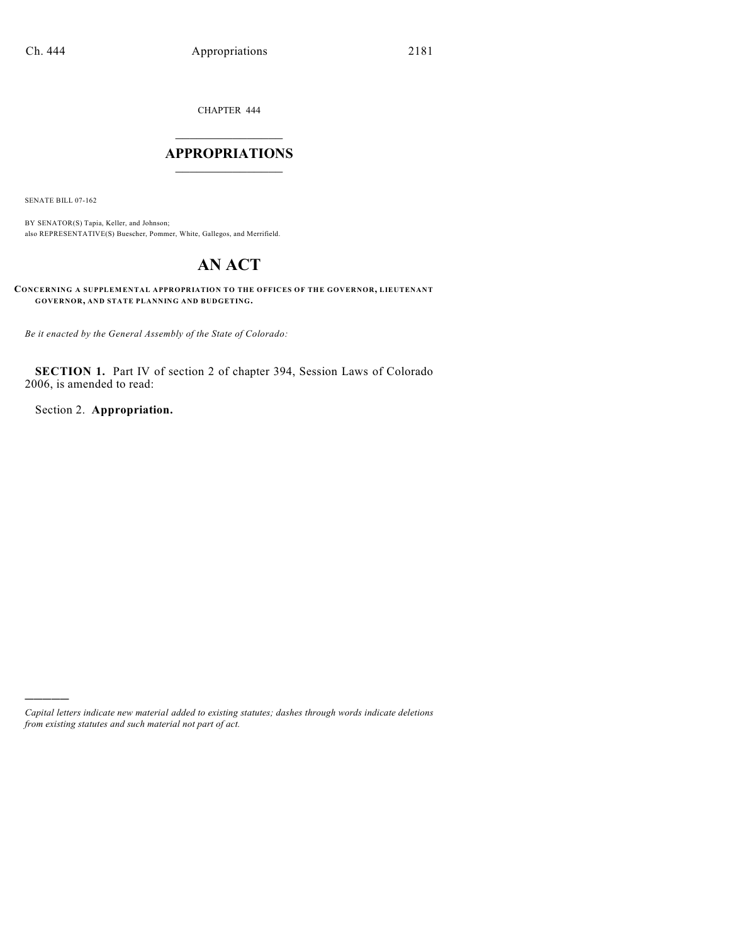CHAPTER 444

## $\mathcal{L}_\text{max}$  . The set of the set of the set of the set of the set of the set of the set of the set of the set of the set of the set of the set of the set of the set of the set of the set of the set of the set of the set **APPROPRIATIONS**  $\_$   $\_$   $\_$   $\_$   $\_$   $\_$   $\_$   $\_$

SENATE BILL 07-162

)))))

BY SENATOR(S) Tapia, Keller, and Johnson; also REPRESENTATIVE(S) Buescher, Pommer, White, Gallegos, and Merrifield.

# **AN ACT**

**CONCERNING A SUPPLEMENTAL APPROPRIATION TO THE OFFICES OF THE GOVERNOR, LIEUTENANT GOVERNOR, AND STATE PLANNING AND BUDGETING.**

*Be it enacted by the General Assembly of the State of Colorado:*

**SECTION 1.** Part IV of section 2 of chapter 394, Session Laws of Colorado 2006, is amended to read:

Section 2. **Appropriation.**

*Capital letters indicate new material added to existing statutes; dashes through words indicate deletions from existing statutes and such material not part of act.*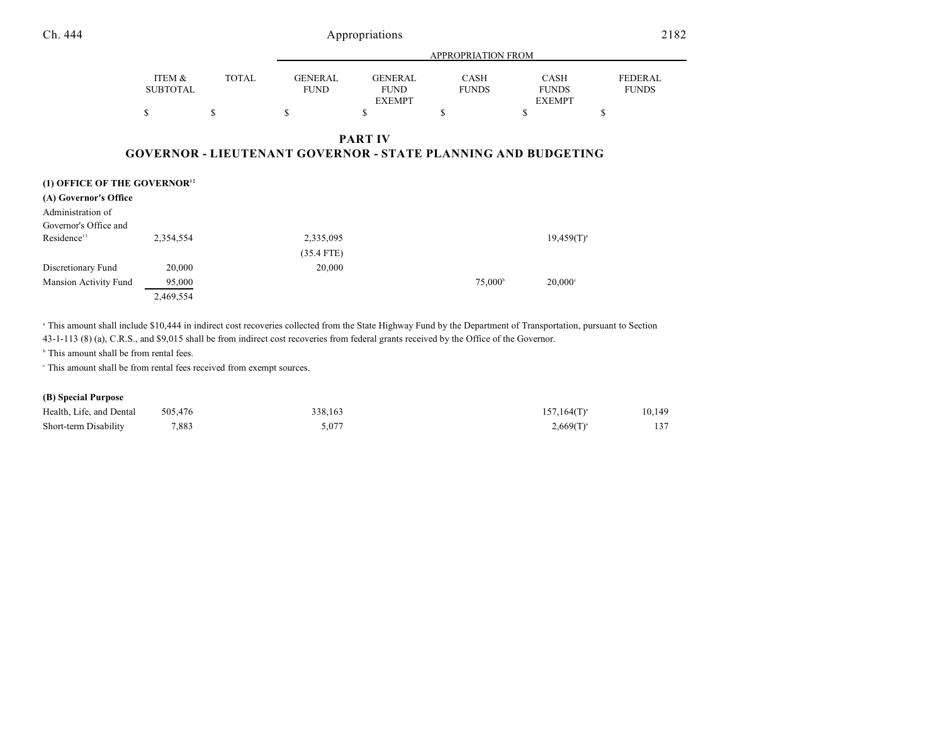Ch. 444 Appropriations

|                                          |                           |              |                               |                                                | <b>APPROPRIATION FROM</b>                                            |                                              |                                |
|------------------------------------------|---------------------------|--------------|-------------------------------|------------------------------------------------|----------------------------------------------------------------------|----------------------------------------------|--------------------------------|
|                                          | ITEM &<br><b>SUBTOTAL</b> | <b>TOTAL</b> | <b>GENERAL</b><br><b>FUND</b> | <b>GENERAL</b><br><b>FUND</b><br><b>EXEMPT</b> | <b>CASH</b><br><b>FUNDS</b>                                          | <b>CASH</b><br><b>FUNDS</b><br><b>EXEMPT</b> | <b>FEDERAL</b><br><b>FUNDS</b> |
|                                          | \$                        | S            | S                             | S                                              | S                                                                    | ъ                                            | ъ                              |
|                                          |                           |              |                               | <b>PART IV</b>                                 | <b>GOVERNOR - LIEUTENANT GOVERNOR - STATE PLANNING AND BUDGETING</b> |                                              |                                |
| (1) OFFICE OF THE GOVERNOR <sup>12</sup> |                           |              |                               |                                                |                                                                      |                                              |                                |
| (A) Governor's Office                    |                           |              |                               |                                                |                                                                      |                                              |                                |

| Administration of<br>Governor's Office and |           |              |                  |                  |
|--------------------------------------------|-----------|--------------|------------------|------------------|
| Residence <sup>13</sup>                    | 2,354,554 | 2,335,095    |                  | $19,459(T)^{a}$  |
|                                            |           | $(35.4$ FTE) |                  |                  |
| Discretionary Fund                         | 20,000    | 20,000       |                  |                  |
| Mansion Activity Fund                      | 95,000    |              | $75.000^{\circ}$ | $20.000^{\circ}$ |
|                                            | 2,469,554 |              |                  |                  |

 This amount shall include \$10,444 in indirect cost recoveries collected from the State Highway Fund by the Department of Transportation, pursuant to Section <sup>a</sup> 43-1-113 (8) (a), C.R.S., and \$9,015 shall be from indirect cost recoveries from federal grants received by the Office of the Governor.

 $b$  This amount shall be from rental fees.

This amount shall be from rental fees received from exempt sources. <sup>c</sup>

### **(B) Special Purpose**

| Health, Life, and Dental | 505,476 | 338,163 | $157.164(T)^{a}$ | 10,149 |
|--------------------------|---------|---------|------------------|--------|
| Short-term Disability    | 7.883   | 5.077   | $2,669(T)^{a}$   | 137    |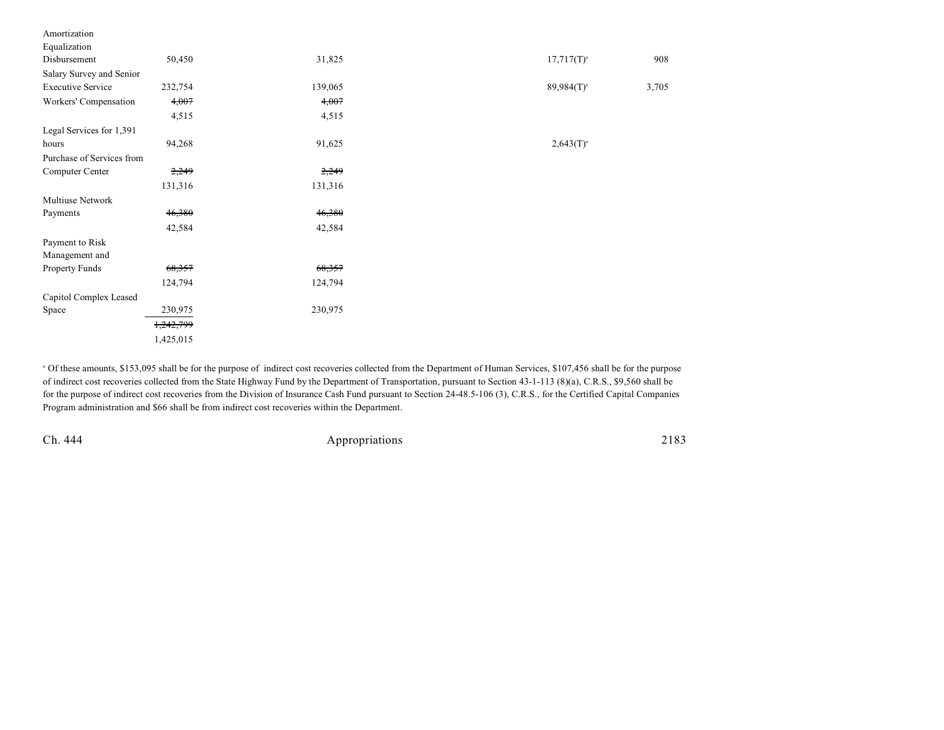| 50,450                    | 31,825  | $17,717(T)^{a}$ | 908   |
|---------------------------|---------|-----------------|-------|
| Salary Survey and Senior  |         |                 |       |
| 232,754                   | 139,065 | $89,984(T)^a$   | 3,705 |
| 4,007                     | 4,007   |                 |       |
| 4,515                     | 4,515   |                 |       |
|                           |         |                 |       |
| 94,268                    | 91,625  | $2,643(T)^{a}$  |       |
| Purchase of Services from |         |                 |       |
| 2,249                     | 2,249   |                 |       |
| 131,316                   | 131,316 |                 |       |
|                           |         |                 |       |
| 46,380                    | 46,380  |                 |       |
| 42,584                    | 42,584  |                 |       |
|                           |         |                 |       |
|                           |         |                 |       |
| 68,357                    | 68,357  |                 |       |
| 124,794                   | 124,794 |                 |       |
| Capitol Complex Leased    |         |                 |       |
| 230,975                   | 230,975 |                 |       |
| 1,242,799                 |         |                 |       |
| 1,425,015                 |         |                 |       |
|                           |         |                 |       |

<sup>a</sup> Of these amounts, \$153,095 shall be for the purpose of indirect cost recoveries collected from the Department of Human Services, \$107,456 shall be for the purpose of indirect cost recoveries collected from the State Highway Fund by the Department of Transportation, pursuant to Section 43-1-113 (8)(a), C.R.S., \$9,560 shall be for the purpose of indirect cost recoveries from the Division of Insurance Cash Fund pursuant to Section 24-48.5-106 (3), C.R.S., for the Certified Capital Companies Program administration and \$66 shall be from indirect cost recoveries within the Department.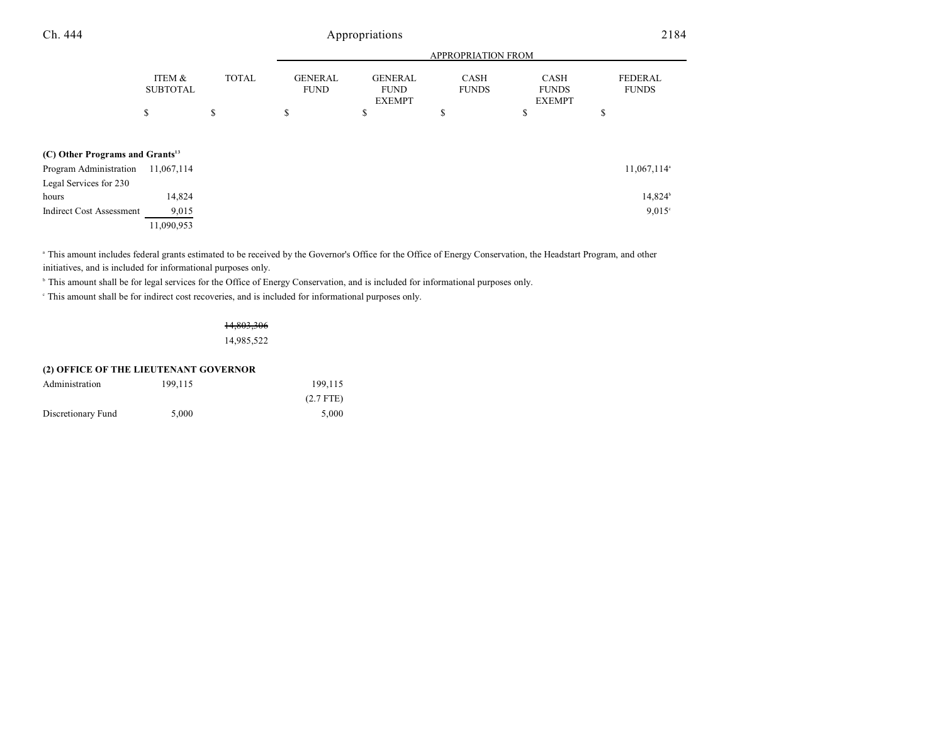| Ch. 444                                     | Appropriations            |              |                               |                                                |                             |                                              | 2184                           |  |
|---------------------------------------------|---------------------------|--------------|-------------------------------|------------------------------------------------|-----------------------------|----------------------------------------------|--------------------------------|--|
|                                             |                           |              |                               |                                                | APPROPRIATION FROM          |                                              |                                |  |
|                                             | ITEM &<br><b>SUBTOTAL</b> | <b>TOTAL</b> | <b>GENERAL</b><br><b>FUND</b> | <b>GENERAL</b><br><b>FUND</b><br><b>EXEMPT</b> | <b>CASH</b><br><b>FUNDS</b> | <b>CASH</b><br><b>FUNDS</b><br><b>EXEMPT</b> | <b>FEDERAL</b><br><b>FUNDS</b> |  |
|                                             | \$                        | \$           | \$                            | \$                                             | \$                          | \$                                           | \$                             |  |
| (C) Other Programs and Grants <sup>13</sup> |                           |              |                               |                                                |                             |                                              |                                |  |
| Program Administration                      | 11,067,114                |              |                               |                                                |                             |                                              | 11,067,114 <sup>a</sup>        |  |
| Legal Services for 230                      |                           |              |                               |                                                |                             |                                              |                                |  |
| hours                                       | 14,824                    |              |                               |                                                |                             |                                              | $14,824^b$                     |  |
| <b>Indirect Cost Assessment</b>             | 9,015                     |              |                               |                                                |                             |                                              | $9,015^{\circ}$                |  |
|                                             | 11,090,953                |              |                               |                                                |                             |                                              |                                |  |

<sup>a</sup> This amount includes federal grants estimated to be received by the Governor's Office for the Office of Energy Conservation, the Headstart Program, and other initiatives, and is included for informational purposes only.

<sup>b</sup> This amount shall be for legal services for the Office of Energy Conservation, and is included for informational purposes only.

This amount shall be for indirect cost recoveries, and is included for informational purposes only. <sup>c</sup>

14,803,306 14,985,522

|                    | (2) OFFICE OF THE LIEUTENANT GOVERNOR |             |
|--------------------|---------------------------------------|-------------|
| Administration     | 199.115                               | 199.115     |
|                    |                                       | $(2.7$ FTE) |
| Discretionary Fund | 5.000                                 | 5.000       |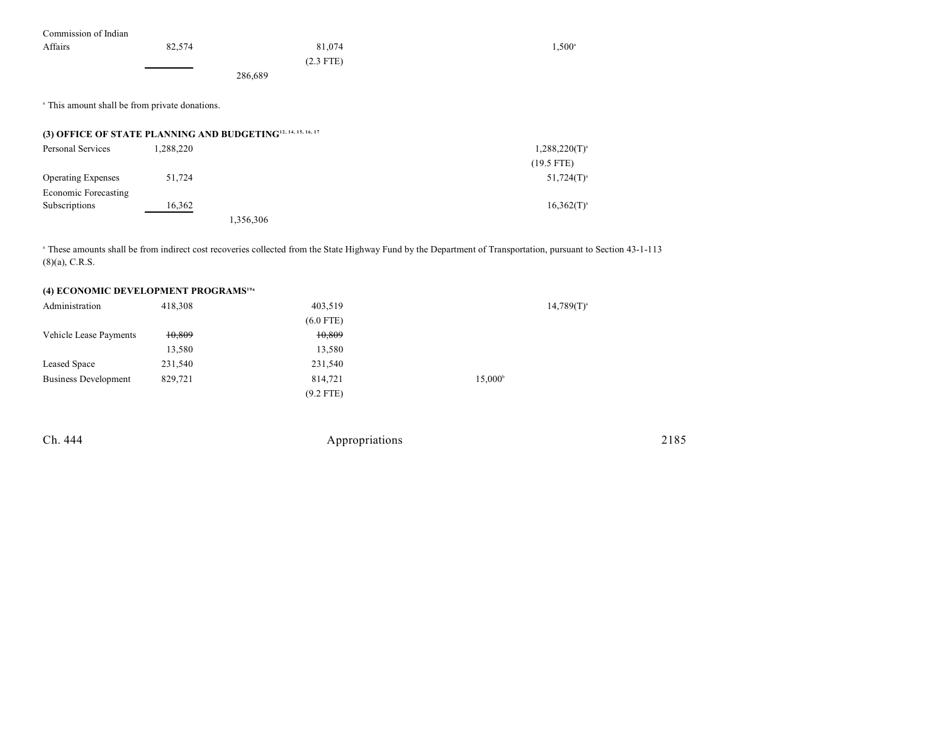| Commission of Indian                                                     |           |             |                    |
|--------------------------------------------------------------------------|-----------|-------------|--------------------|
| Affairs                                                                  | 82,574    | 81,074      | $1,500^{\circ}$    |
|                                                                          |           | $(2.3$ FTE) |                    |
|                                                                          |           | 286,689     |                    |
| <sup>a</sup> This amount shall be from private donations.                |           |             |                    |
| (3) OFFICE OF STATE PLANNING AND BUDGETING <sup>12, 14, 15, 16, 17</sup> |           |             |                    |
| Personal Services                                                        | 1,288,220 |             | $1,288,220(T)^{a}$ |
|                                                                          |           |             | $(19.5$ FTE)       |
| <b>Operating Expenses</b>                                                | 51,724    |             | $51,724(T)^{a}$    |
| Economic Forecasting                                                     |           |             |                    |
| Subscriptions                                                            | 16,362    |             | $16,362(T)^{a}$    |
|                                                                          |           | 1,356,306   |                    |

<sup>a</sup> These amounts shall be from indirect cost recoveries collected from the State Highway Fund by the Department of Transportation, pursuant to Section 43-1-113 (8)(a), C.R.S.

### **(4) ECONOMIC DEVELOPMENT PROGRAMS19a**

| Administration              | 418,308 | 403,519     |                  | $14,789(T)^{a}$ |
|-----------------------------|---------|-------------|------------------|-----------------|
|                             |         | $(6.0$ FTE) |                  |                 |
| Vehicle Lease Payments      | 10,809  | 10,809      |                  |                 |
|                             | 13,580  | 13,580      |                  |                 |
| Leased Space                | 231,540 | 231,540     |                  |                 |
| <b>Business Development</b> | 829,721 | 814,721     | $15,000^{\circ}$ |                 |
|                             |         | $(9.2$ FTE) |                  |                 |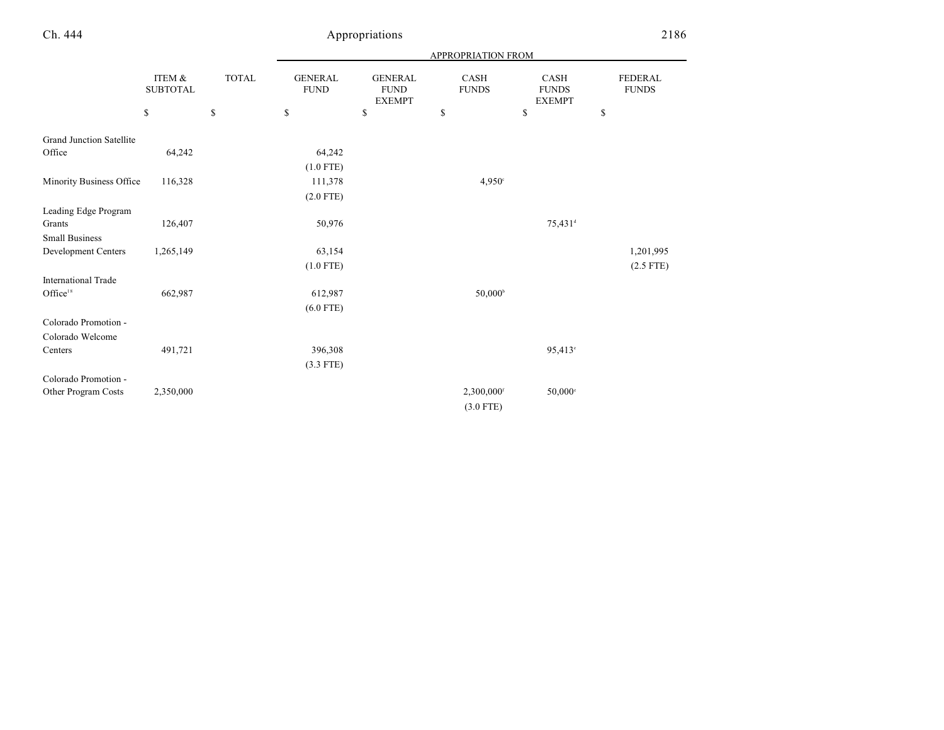|  | h. | 444<br>. . |
|--|----|------------|
|--|----|------------|

# Appropriations 2186

|                                 |                           |              | APPROPRIATION FROM            |                                                |                          |                                              |                                |
|---------------------------------|---------------------------|--------------|-------------------------------|------------------------------------------------|--------------------------|----------------------------------------------|--------------------------------|
|                                 | ITEM &<br><b>SUBTOTAL</b> | <b>TOTAL</b> | <b>GENERAL</b><br><b>FUND</b> | <b>GENERAL</b><br><b>FUND</b><br><b>EXEMPT</b> | CASH<br><b>FUNDS</b>     | <b>CASH</b><br><b>FUNDS</b><br><b>EXEMPT</b> | <b>FEDERAL</b><br><b>FUNDS</b> |
|                                 | \$                        | \$           | \$                            | \$                                             | \$                       | \$                                           | \$                             |
| <b>Grand Junction Satellite</b> |                           |              |                               |                                                |                          |                                              |                                |
| Office                          | 64,242                    |              | 64,242                        |                                                |                          |                                              |                                |
|                                 |                           |              | $(1.0$ FTE)                   |                                                |                          |                                              |                                |
| Minority Business Office        | 116,328                   |              | 111,378                       |                                                | 4,950°                   |                                              |                                |
|                                 |                           |              | $(2.0$ FTE)                   |                                                |                          |                                              |                                |
|                                 |                           |              |                               |                                                |                          |                                              |                                |
| Leading Edge Program            |                           |              |                               |                                                |                          |                                              |                                |
| Grants                          | 126,407                   |              | 50,976                        |                                                |                          | 75,431 <sup>d</sup>                          |                                |
| <b>Small Business</b>           |                           |              |                               |                                                |                          |                                              |                                |
| Development Centers             | 1,265,149                 |              | 63,154                        |                                                |                          |                                              | 1,201,995                      |
|                                 |                           |              | $(1.0$ FTE)                   |                                                |                          |                                              | $(2.5$ FTE)                    |
| <b>International Trade</b>      |                           |              |                               |                                                |                          |                                              |                                |
| Office <sup>18</sup>            | 662,987                   |              | 612,987                       |                                                | $50,000^{\circ}$         |                                              |                                |
|                                 |                           |              | $(6.0$ FTE)                   |                                                |                          |                                              |                                |
| Colorado Promotion -            |                           |              |                               |                                                |                          |                                              |                                |
| Colorado Welcome                |                           |              |                               |                                                |                          |                                              |                                |
| Centers                         | 491,721                   |              | 396,308                       |                                                |                          | 95,413°                                      |                                |
|                                 |                           |              | $(3.3$ FTE)                   |                                                |                          |                                              |                                |
| Colorado Promotion -            |                           |              |                               |                                                |                          |                                              |                                |
| Other Program Costs             | 2,350,000                 |              |                               |                                                | $2,300,000$ <sup>f</sup> | $50,000$ °                                   |                                |
|                                 |                           |              |                               |                                                | $(3.0$ FTE)              |                                              |                                |
|                                 |                           |              |                               |                                                |                          |                                              |                                |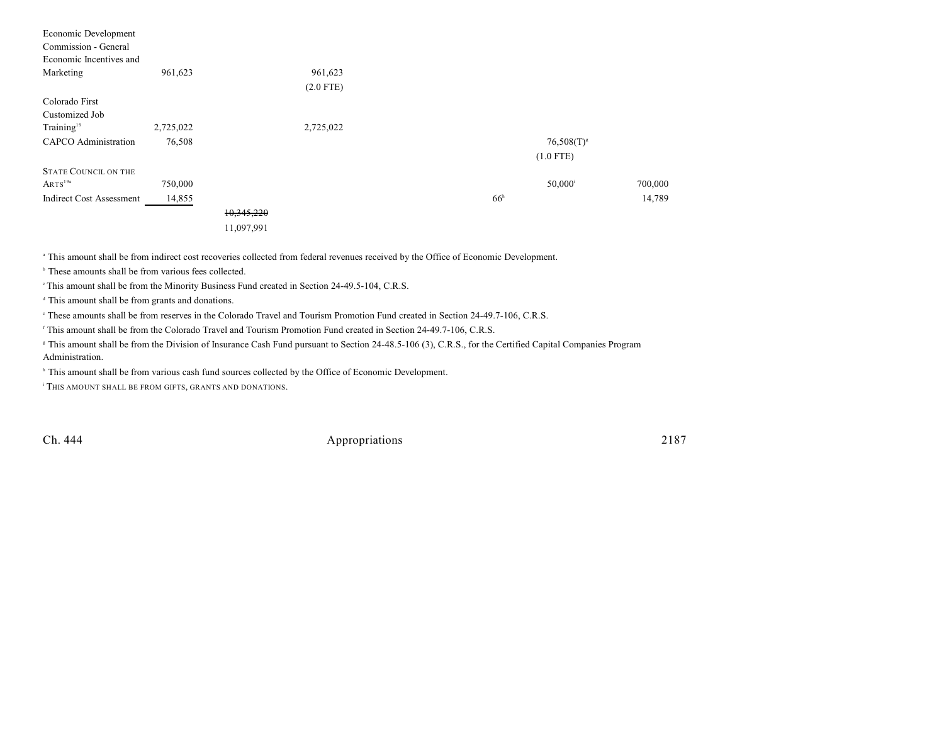| Economic Development            |           |            |             |                 |                     |         |
|---------------------------------|-----------|------------|-------------|-----------------|---------------------|---------|
| Commission - General            |           |            |             |                 |                     |         |
| Economic Incentives and         |           |            |             |                 |                     |         |
| Marketing                       | 961,623   |            | 961,623     |                 |                     |         |
|                                 |           |            | $(2.0$ FTE) |                 |                     |         |
| Colorado First                  |           |            |             |                 |                     |         |
| Customized Job                  |           |            |             |                 |                     |         |
| Training <sup>19</sup>          | 2,725,022 |            | 2,725,022   |                 |                     |         |
| <b>CAPCO</b> Administration     | 76,508    |            |             |                 | $76,508(T)^{s}$     |         |
|                                 |           |            |             |                 | $(1.0$ FTE)         |         |
| <b>STATE COUNCIL ON THE</b>     |           |            |             |                 |                     |         |
| ARTS <sup>19a</sup>             | 750,000   |            |             |                 | 50,000 <sup>i</sup> | 700,000 |
| <b>Indirect Cost Assessment</b> | 14,855    |            |             | 66 <sup>h</sup> |                     | 14,789  |
|                                 |           | 10,345,220 |             |                 |                     |         |
|                                 |           | 11,097,991 |             |                 |                     |         |
|                                 |           |            |             |                 |                     |         |

This amount shall be from indirect cost recoveries collected from federal revenues received by the Office of Economic Development. <sup>a</sup>

 $\overrightarrow{b}$  These amounts shall be from various fees collected.

<sup>c</sup> This amount shall be from the Minority Business Fund created in Section 24-49.5-104, C.R.S.

<sup>d</sup> This amount shall be from grants and donations.

<sup>e</sup> These amounts shall be from reserves in the Colorado Travel and Tourism Promotion Fund created in Section 24-49.7-106, C.R.S.

<sup>f</sup> This amount shall be from the Colorado Travel and Tourism Promotion Fund created in Section 24-49.7-106, C.R.S.

<sup>8</sup> This amount shall be from the Division of Insurance Cash Fund pursuant to Section 24-48.5-106 (3), C.R.S., for the Certified Capital Companies Program Administration.

<sup>h</sup> This amount shall be from various cash fund sources collected by the Office of Economic Development.

<sup>i</sup> This amount shall be from gifts, grants and donations.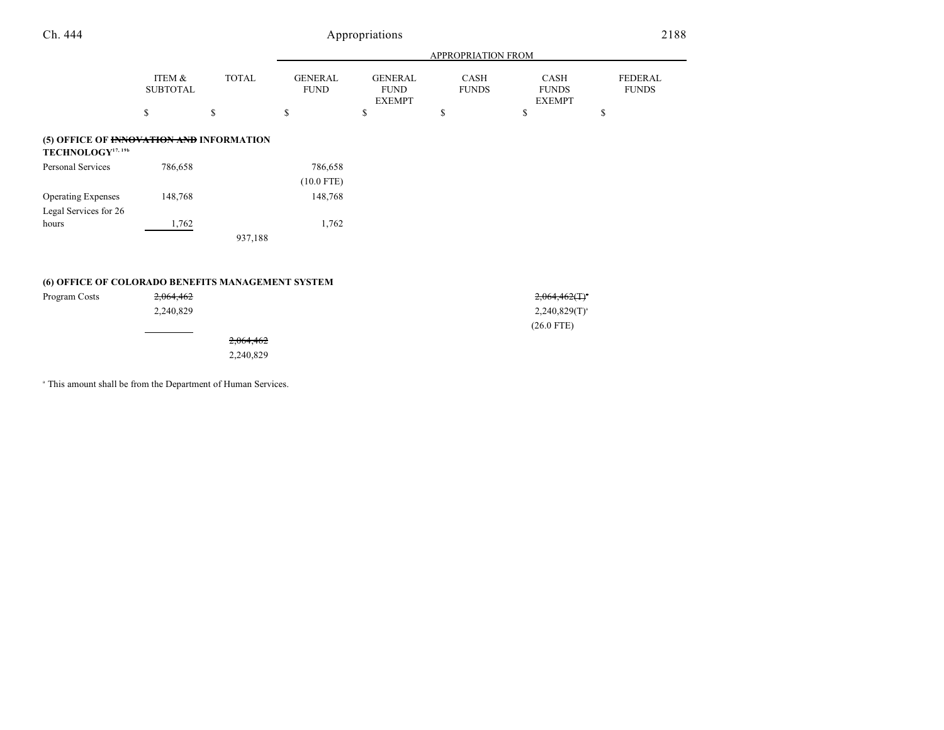## Ch. 444 Appropriations 2188

|                                                                           |                           |              | APPROPRIATION FROM            |                                                |                             |                                              |                                |  |  |
|---------------------------------------------------------------------------|---------------------------|--------------|-------------------------------|------------------------------------------------|-----------------------------|----------------------------------------------|--------------------------------|--|--|
|                                                                           | ITEM &<br><b>SUBTOTAL</b> | <b>TOTAL</b> | <b>GENERAL</b><br><b>FUND</b> | <b>GENERAL</b><br><b>FUND</b><br><b>EXEMPT</b> | <b>CASH</b><br><b>FUNDS</b> | <b>CASH</b><br><b>FUNDS</b><br><b>EXEMPT</b> | <b>FEDERAL</b><br><b>FUNDS</b> |  |  |
|                                                                           | \$                        | \$           | \$                            | \$                                             | \$                          | \$                                           | \$                             |  |  |
| (5) OFFICE OF INNOVATION AND INFORMATION<br>TECHNOLOGY <sup>17, 19b</sup> |                           |              |                               |                                                |                             |                                              |                                |  |  |
| Personal Services                                                         | 786,658                   |              | 786,658                       |                                                |                             |                                              |                                |  |  |
|                                                                           |                           |              | $(10.0$ FTE)                  |                                                |                             |                                              |                                |  |  |
| <b>Operating Expenses</b>                                                 | 148,768                   |              | 148,768                       |                                                |                             |                                              |                                |  |  |
| Legal Services for 26                                                     |                           |              |                               |                                                |                             |                                              |                                |  |  |
| hours                                                                     | 1,762                     |              | 1,762                         |                                                |                             |                                              |                                |  |  |
| 937,188                                                                   |                           |              |                               |                                                |                             |                                              |                                |  |  |
|                                                                           |                           |              |                               |                                                |                             |                                              |                                |  |  |
| (6) OFFICE OF COLORADO BENEFITS MANAGEMENT SYSTEM                         |                           |              |                               |                                                |                             |                                              |                                |  |  |
| Program Costs                                                             | 2,064,462                 |              |                               |                                                |                             | $2,064,462($ T) <sup>*</sup>                 |                                |  |  |
|                                                                           | 2,240,829                 |              |                               |                                                |                             | $2,240,829(T)^{a}$                           |                                |  |  |

2,064,462

2,240,829

<sup>a</sup> This amount shall be from the Department of Human Services.

(26.0 FTE)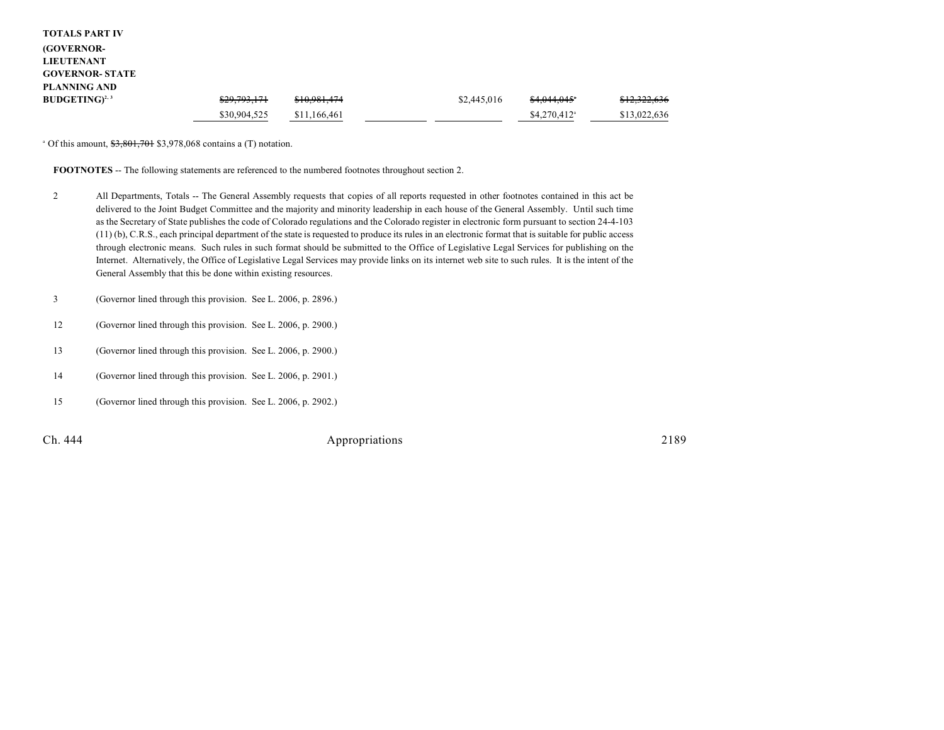| <b>TOTALS PART IV</b>  |              |              |             |                           |              |
|------------------------|--------------|--------------|-------------|---------------------------|--------------|
| <b>(GOVERNOR-</b>      |              |              |             |                           |              |
| <b>LIEUTENANT</b>      |              |              |             |                           |              |
| <b>GOVERNOR- STATE</b> |              |              |             |                           |              |
| <b>PLANNING AND</b>    |              |              |             |                           |              |
| $BUDGETING)^{2,3}$     | \$29,793,171 | \$10,981,474 | \$2,445,016 | \$4,044,045"              | \$12,322,636 |
|                        | \$30,904,525 | \$11,166,461 |             | $$4,270,412$ <sup>a</sup> | \$13,022,636 |

 $^{\circ}$  Of this amount,  $\frac{$3,801,701}{0.801,701}$  \$3,978,068 contains a (T) notation.

**FOOTNOTES** -- The following statements are referenced to the numbered footnotes throughout section 2.

- 2 All Departments, Totals -- The General Assembly requests that copies of all reports requested in other footnotes contained in this act be delivered to the Joint Budget Committee and the majority and minority leadership in each house of the General Assembly. Until such time as the Secretary of State publishes the code of Colorado regulations and the Colorado register in electronic form pursuant to section 24-4-103 (11) (b), C.R.S., each principal department of the state is requested to produce its rules in an electronic format that is suitable for public access through electronic means. Such rules in such format should be submitted to the Office of Legislative Legal Services for publishing on the Internet. Alternatively, the Office of Legislative Legal Services may provide links on its internet web site to such rules. It is the intent of the General Assembly that this be done within existing resources.
- 3 (Governor lined through this provision. See L. 2006, p. 2896.)
- 12 (Governor lined through this provision. See L. 2006, p. 2900.)
- 13 (Governor lined through this provision. See L. 2006, p. 2900.)
- 14 (Governor lined through this provision. See L. 2006, p. 2901.)
- 15 (Governor lined through this provision. See L. 2006, p. 2902.)